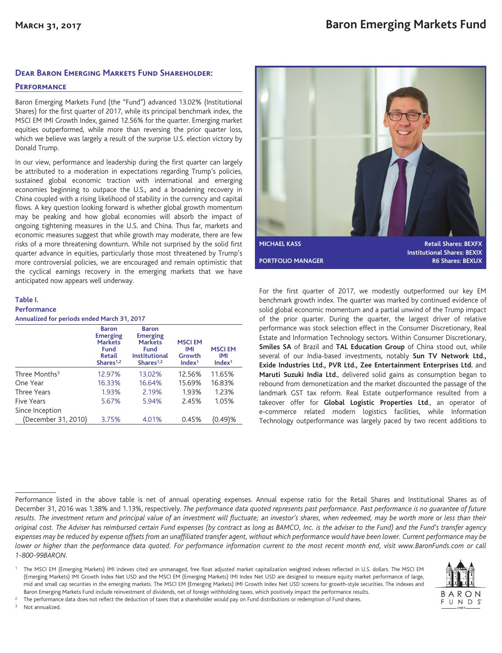### **Dear Baron Emerging Markets Fund Shareholder:**

### **Performance**

Baron Emerging Markets Fund (the "Fund") advanced 13.02% (Institutional Shares) for the first quarter of 2017, while its principal benchmark index, the MSCI EM IMI Growth Index, gained 12.56% for the quarter. Emerging market equities outperformed, while more than reversing the prior quarter loss, which we believe was largely a result of the surprise U.S. election victory by Donald Trump.

In our view, performance and leadership during the first quarter can largely be attributed to a moderation in expectations regarding Trump's policies, sustained global economic traction with international and emerging economies beginning to outpace the U.S., and a broadening recovery in China coupled with a rising likelihood of stability in the currency and capital flows. A key question looking forward is whether global growth momentum may be peaking and how global economies will absorb the impact of ongoing tightening measures in the U.S. and China. Thus far, markets and economic measures suggest that while growth may moderate, there are few risks of a more threatening downturn. While not surprised by the solid first quarter advance in equities, particularly those most threatened by Trump's more controversial policies, we are encouraged and remain optimistic that the cyclical earnings recovery in the emerging markets that we have anticipated now appears well underway.

## **Table I. Performance**

| Annualized for periods ended March 31, 2017 |  |  |  |
|---------------------------------------------|--|--|--|
|                                             |  |  |  |

|                           | <b>Baron</b><br><b>Emerging</b><br><b>Markets</b><br>Fund<br><b>Retail</b><br>Shares $1,2$ | <b>Baron</b><br><b>Emerging</b><br><b>Markets</b><br><b>Fund</b><br><b>Institutional</b><br>Shares $1,2$ | <b>MSCIEM</b><br>IMI<br>Growth<br>Index <sup>1</sup> | <b>MSCIEM</b><br>IMI<br>Index <sup>1</sup> |
|---------------------------|--------------------------------------------------------------------------------------------|----------------------------------------------------------------------------------------------------------|------------------------------------------------------|--------------------------------------------|
| Three Months <sup>3</sup> | 12.97%                                                                                     | 13.02%                                                                                                   | 12.56%                                               | 11.65%                                     |
| One Year                  | 16.33%                                                                                     | 16.64%                                                                                                   | 15.69%                                               | 16.83%                                     |
| Three Years               | 1.93%                                                                                      | 2.19%                                                                                                    | 1.93%                                                | 1.23%                                      |
| <b>Five Years</b>         | 5.67%                                                                                      | 5.94%                                                                                                    | 2.45%                                                | 1.05%                                      |
| Since Inception           |                                                                                            |                                                                                                          |                                                      |                                            |
| (December 31, 2010)       | 3.75%                                                                                      | 4.01%                                                                                                    | 0.45%                                                | (0.49)%                                    |



For the first quarter of 2017, we modestly outperformed our key EM benchmark growth index. The quarter was marked by continued evidence of solid global economic momentum and a partial unwind of the Trump impact of the prior quarter. During the quarter, the largest driver of relative performance was stock selection effect in the Consumer Discretionary, Real Estate and Information Technology sectors. Within Consumer Discretionary, **Smiles SA** of Brazil and **TAL Education Group** of China stood out, while several of our India-based investments, notably **Sun TV Network Ltd., Exide Industries Ltd., PVR Ltd., Zee Entertainment Enterprises Ltd.** and **Maruti Suzuki India Ltd.**, delivered solid gains as consumption began to rebound from demonetization and the market discounted the passage of the landmark GST tax reform. Real Estate outperformance resulted from a takeover offer for **Global Logistic Properties Ltd**., an operator of e-commerce related modern logistics facilities, while Information Technology outperformance was largely paced by two recent additions to

<sup>1</sup> The MSCI EM (Emerging Markets) IMI indexes cited are unmanaged, free float adjusted market capitalization weighted indexes reflected in U.S. dollars. The MSCI EM (Emerging Markets) IMI Growth Index Net USD and the MSCI EM (Emerging Markets) IMI Index Net USD are designed to measure equity market performance of large, mid and small cap securities in the emerging markets. The MSCI EM (Emerging Markets) IMI Growth Index Net USD screens for growth-style securities. The indexes and Baron Emerging Markets Fund include reinvestment of dividends, net of foreign withholding taxes, which positively impact the performance results.



<sup>3</sup> Not annualized.



Performance listed in the above table is net of annual operating expenses. Annual expense ratio for the Retail Shares and Institutional Shares as of December 31, 2016 was 1.38% and 1.13%, respectively. *The performance data quoted represents past performance. Past performance is no guarantee of future results. The investment return and principal value of an investment will fluctuate; an investor's shares, when redeemed, may be worth more or less than their original cost. The Adviser has reimbursed certain Fund expenses (by contract as long as BAMCO, Inc. is the adviser to the Fund) and the Fund's transfer agency expenses may be reduced by expense offsets from an unaffiliated transfer agent, without which performance would have been lower. Current performance may be lower or higher than the performance data quoted. For performance information current to the most recent month end, visit www.BaronFunds.com or call 1-800-99BARON.*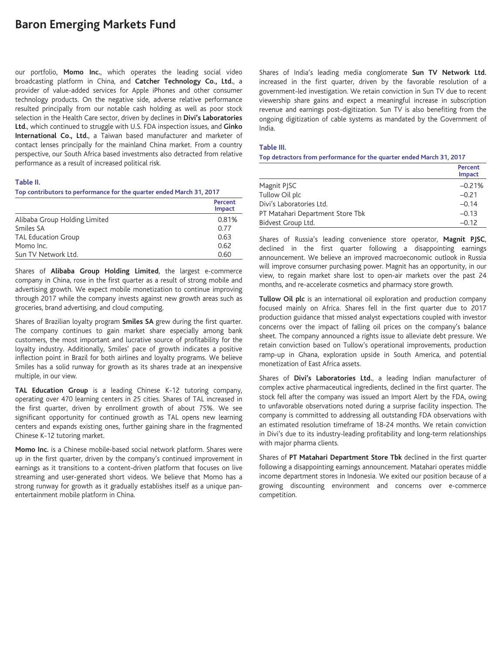# **Baron Emerging Markets Fund**

our portfolio, **Momo Inc.**, which operates the leading social video broadcasting platform in China, and **Catcher Technology Co., Ltd.**, a provider of value-added services for Apple iPhones and other consumer technology products. On the negative side, adverse relative performance resulted principally from our notable cash holding as well as poor stock selection in the Health Care sector, driven by declines in **Divi's Laboratories Ltd.**, which continued to struggle with U.S. FDA inspection issues, and **Ginko International Co., Ltd.**, a Taiwan based manufacturer and marketer of contact lenses principally for the mainland China market. From a country perspective, our South Africa based investments also detracted from relative performance as a result of increased political risk.

### **Table II.**

**Top contributors to performance for the quarter ended March 31, 2017**

|                               | Percent<br>Impact |
|-------------------------------|-------------------|
| Alibaba Group Holding Limited | 0.81%             |
| Smiles SA                     | 0.77              |
| <b>TAL Education Group</b>    | 0.63              |
| Momo Inc.                     | 0.62              |
| Sun TV Network Ltd.           | 0.60              |

Shares of **Alibaba Group Holding Limited**, the largest e-commerce company in China, rose in the first quarter as a result of strong mobile and advertising growth. We expect mobile monetization to continue improving through 2017 while the company invests against new growth areas such as groceries, brand advertising, and cloud computing.

Shares of Brazilian loyalty program **Smiles SA** grew during the first quarter. The company continues to gain market share especially among bank customers, the most important and lucrative source of profitability for the loyalty industry. Additionally, Smiles' pace of growth indicates a positive inflection point in Brazil for both airlines and loyalty programs. We believe Smiles has a solid runway for growth as its shares trade at an inexpensive multiple, in our view.

**TAL Education Group** is a leading Chinese K-12 tutoring company, operating over 470 learning centers in 25 cities. Shares of TAL increased in the first quarter, driven by enrollment growth of about 75%. We see significant opportunity for continued growth as TAL opens new learning centers and expands existing ones, further gaining share in the fragmented Chinese K-12 tutoring market.

**Momo Inc.** is a Chinese mobile-based social network platform. Shares were up in the first quarter, driven by the company's continued improvement in earnings as it transitions to a content-driven platform that focuses on live streaming and user-generated short videos. We believe that Momo has a strong runway for growth as it gradually establishes itself as a unique panentertainment mobile platform in China.

Shares of India's leading media conglomerate **Sun TV Network Ltd.** increased in the first quarter, driven by the favorable resolution of a government-led investigation. We retain conviction in Sun TV due to recent viewership share gains and expect a meaningful increase in subscription revenue and earnings post-digitization. Sun TV is also benefiting from the ongoing digitization of cable systems as mandated by the Government of India.

#### **Table III.**

**Top detractors from performance for the quarter ended March 31, 2017**

|                                  | Percent<br>Impact |
|----------------------------------|-------------------|
| Magnit PJSC                      | $-0.21%$          |
| Tullow Oil plc                   | $-0.21$           |
| Divi's Laboratories Ltd.         | $-0.14$           |
| PT Matahari Department Store Tbk | $-0.13$           |
| Bidvest Group Ltd.               | $-0.12$           |

Shares of Russia's leading convenience store operator, **Magnit PJSC**, declined in the first quarter following a disappointing earnings announcement. We believe an improved macroeconomic outlook in Russia will improve consumer purchasing power. Magnit has an opportunity, in our view, to regain market share lost to open-air markets over the past 24 months, and re-accelerate cosmetics and pharmacy store growth.

**Tullow Oil plc** is an international oil exploration and production company focused mainly on Africa. Shares fell in the first quarter due to 2017 production guidance that missed analyst expectations coupled with investor concerns over the impact of falling oil prices on the company's balance sheet. The company announced a rights issue to alleviate debt pressure. We retain conviction based on Tullow's operational improvements, production ramp-up in Ghana, exploration upside in South America, and potential monetization of East Africa assets.

Shares of **Divi's Laboratories Ltd.**, a leading Indian manufacturer of complex active pharmaceutical ingredients, declined in the first quarter. The stock fell after the company was issued an Import Alert by the FDA, owing to unfavorable observations noted during a surprise facility inspection. The company is committed to addressing all outstanding FDA observations with an estimated resolution timeframe of 18-24 months. We retain conviction in Divi's due to its industry-leading profitability and long-term relationships with major pharma clients.

Shares of **PT Matahari Department Store Tbk** declined in the first quarter following a disappointing earnings announcement. Matahari operates middle income department stores in Indonesia. We exited our position because of a growing discounting environment and concerns over e-commerce competition.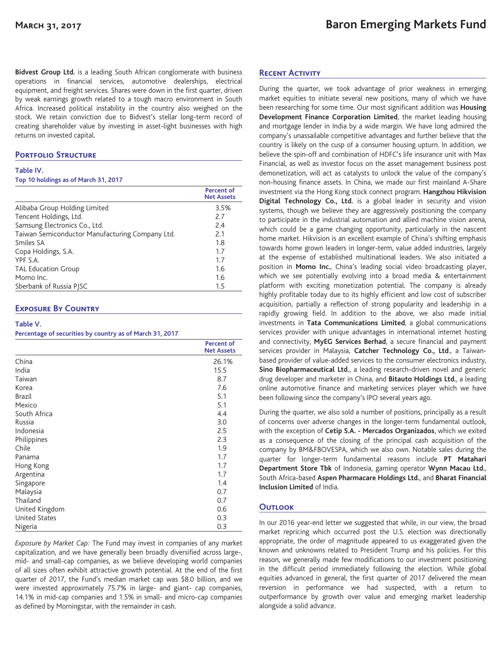**Bidvest Group Ltd.** is a leading South African conglomerate with business operations in financial services, automotive dealerships, electrical equipment, and freight services. Shares were down in the first quarter, driven by weak earnings growth related to a tough macro environment in South Africa. Increased political instability in the country also weighed on the stock. We retain conviction due to Bidvest's stellar long-term record of creating shareholder value by investing in asset-light businesses with high returns on invested capital.

# **Portfolio Structure**

#### **Table IV.**

#### **Top 10 holdings as of March 31, 2017**

|                                                 | Percent of<br><b>Net Assets</b> |
|-------------------------------------------------|---------------------------------|
| Alibaba Group Holding Limited                   | 3.5%                            |
| Tencent Holdings, Ltd.                          | 7.7                             |
| Samsung Electronics Co., Ltd.                   | 2.4                             |
| Taiwan Semiconductor Manufacturing Company Ltd. | 2.1                             |
| Smiles SA                                       | 1.8                             |
| Copa Holdings, S.A.                             | 1.7                             |
| YPF S.A.                                        | 1.7                             |
| <b>TAL Education Group</b>                      | 1.6                             |
| Momo Inc.                                       | 1.6                             |
| Sberbank of Russia PISC                         | 1.5                             |
|                                                 |                                 |

### **Exposure By Country**

#### **Table V.**

**Percentage of securities by country as of March 31, 2017**

|                      | <b>Percent of</b><br><b>Net Assets</b> |
|----------------------|----------------------------------------|
| China                | 26.1%                                  |
| India                | 15.5                                   |
| Taiwan               | 8.7                                    |
| Korea                | 7.6                                    |
| <b>Brazil</b>        | 5.1                                    |
| Mexico               | 5.1                                    |
| South Africa         | 4.4                                    |
| Russia               | 3.0                                    |
| Indonesia            | 2.5                                    |
| Philippines          | 2.3                                    |
| Chile                | 1.9                                    |
| Panama               | 1.7                                    |
| Hong Kong            | 1.7                                    |
| Argentina            | 1.7                                    |
| Singapore            | 1.4                                    |
| Malaysia             | 0.7                                    |
| Thailand             | 0.7                                    |
| United Kingdom       | 0.6                                    |
| <b>United States</b> | 0.3                                    |
| Nigeria              | 0.3                                    |

*Exposure by Market Cap:* The Fund may invest in companies of any market capitalization, and we have generally been broadly diversified across large-, mid- and small-cap companies, as we believe developing world companies of all sizes often exhibit attractive growth potential. At the end of the first quarter of 2017, the Fund's median market cap was \$8.0 billion, and we were invested approximately 75.7% in large- and giant- cap companies, 14.1% in mid-cap companies and 1.5% in small- and micro-cap companies as defined by Morningstar, with the remainder in cash.

## **Recent Activity**

During the quarter, we took advantage of prior weakness in emerging market equities to initiate several new positions, many of which we have been researching for some time. Our most significant addition was **Housing Development Finance Corporation Limited**, the market leading housing and mortgage lender in India by a wide margin. We have long admired the company's unassailable competitive advantages and further believe that the country is likely on the cusp of a consumer housing upturn. In addition, we believe the spin-off and combination of HDFC's life insurance unit with Max Financial, as well as investor focus on the asset management business post demonetization, will act as catalysts to unlock the value of the company's non-housing finance assets. In China, we made our first mainland A-Share investment via the Hong Kong stock connect program. **Hangzhou Hikvision Digital Technology Co., Ltd.** is a global leader in security and vision systems, though we believe they are aggressively positioning the company to participate in the industrial automation and allied machine vision arena, which could be a game changing opportunity, particularly in the nascent home market. Hikvision is an excellent example of China's shifting emphasis towards home grown leaders in longer-term, value added industries, largely at the expense of established multinational leaders. We also initiated a position in **Momo Inc.**, China's leading social video broadcasting player, which we see potentially evolving into a broad media & entertainment platform with exciting monetization potential. The company is already highly profitable today due to its highly efficient and low cost of subscriber acquisition, partially a reflection of strong popularity and leadership in a rapidly growing field. In addition to the above, we also made initial investments in **Tata Communications Limited**, a global communications services provider with unique advantages in international internet hosting and connectivity, **MyEG Services Berhad**, a secure financial and payment services provider in Malaysia, **Catcher Technology Co., Ltd**., a Taiwanbased provider of value-added services to the consumer electronics industry, **Sino Biopharmaceutical Ltd.**, a leading research-driven novel and generic drug developer and marketer in China, and **Bitauto Holdings Ltd.**, a leading online automotive finance and marketing services player which we have been following since the company's IPO several years ago.

During the quarter, we also sold a number of positions, principally as a result of concerns over adverse changes in the longer-term fundamental outlook, with the exception of **Cetip S.A. - Mercados Organizados**, which we exited as a consequence of the closing of the principal cash acquisition of the company by BM&FBOVESPA, which we also own. Notable sales during the quarter for longer-term fundamental reasons include **PT Matahari Department Store Tbk** of Indonesia, gaming operator **Wynn Macau Ltd.**, South Africa-based **Aspen Pharmacare Holdings Ltd.**, and **Bharat Financial Inclusion Limited** of India.

# **Outlook**

In our 2016 year-end letter we suggested that while, in our view, the broad market repricing which occurred post the U.S. election was directionally appropriate, the order of magnitude appeared to us exaggerated given the known and unknowns related to President Trump and his policies. For this reason, we generally made few modifications to our investment positioning in the difficult period immediately following the election. While global equities advanced in general, the first quarter of 2017 delivered the mean reversion in performance we had suspected, with a return to outperformance by growth over value and emerging market leadership alongside a solid advance.